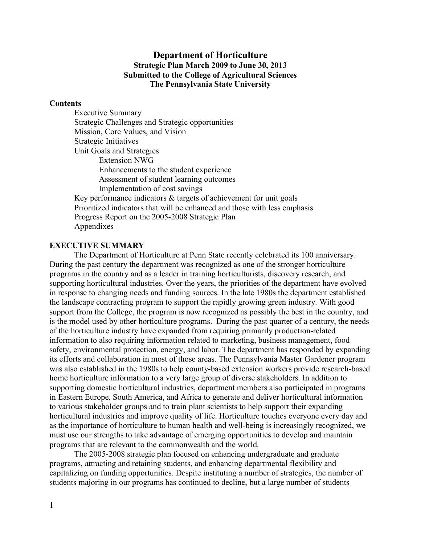### **Department of Horticulture Strategic Plan March 2009 to June 30, 2013 Submitted to the College of Agricultural Sciences The Pennsylvania State University**

#### **Contents**

Executive Summary Strategic Challenges and Strategic opportunities Mission, Core Values, and Vision Strategic Initiatives Unit Goals and Strategies Extension NWG Enhancements to the student experience Assessment of student learning outcomes Implementation of cost savings Key performance indicators & targets of achievement for unit goals Prioritized indicators that will be enhanced and those with less emphasis Progress Report on the 2005-2008 Strategic Plan Appendixes

### **EXECUTIVE SUMMARY**

The Department of Horticulture at Penn State recently celebrated its 100 anniversary. During the past century the department was recognized as one of the stronger horticulture programs in the country and as a leader in training horticulturists, discovery research, and supporting horticultural industries. Over the years, the priorities of the department have evolved in response to changing needs and funding sources. In the late 1980s the department established the landscape contracting program to support the rapidly growing green industry. With good support from the College, the program is now recognized as possibly the best in the country, and is the model used by other horticulture programs. During the past quarter of a century, the needs of the horticulture industry have expanded from requiring primarily production-related information to also requiring information related to marketing, business management, food safety, environmental protection, energy, and labor. The department has responded by expanding its efforts and collaboration in most of those areas. The Pennsylvania Master Gardener program was also established in the 1980s to help county-based extension workers provide research-based home horticulture information to a very large group of diverse stakeholders. In addition to supporting domestic horticultural industries, department members also participated in programs in Eastern Europe, South America, and Africa to generate and deliver horticultural information to various stakeholder groups and to train plant scientists to help support their expanding horticultural industries and improve quality of life. Horticulture touches everyone every day and as the importance of horticulture to human health and well-being is increasingly recognized, we must use our strengths to take advantage of emerging opportunities to develop and maintain programs that are relevant to the commonwealth and the world.

The 2005-2008 strategic plan focused on enhancing undergraduate and graduate programs, attracting and retaining students, and enhancing departmental flexibility and capitalizing on funding opportunities. Despite instituting a number of strategies, the number of students majoring in our programs has continued to decline, but a large number of students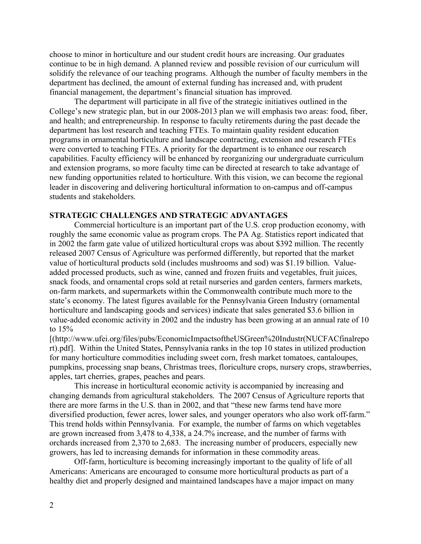choose to minor in horticulture and our student credit hours are increasing. Our graduates continue to be in high demand. A planned review and possible revision of our curriculum will solidify the relevance of our teaching programs. Although the number of faculty members in the department has declined, the amount of external funding has increased and, with prudent financial management, the department's financial situation has improved.

The department will participate in all five of the strategic initiatives outlined in the College's new strategic plan, but in our 2008-2013 plan we will emphasis two areas: food, fiber, and health; and entrepreneurship. In response to faculty retirements during the past decade the department has lost research and teaching FTEs. To maintain quality resident education programs in ornamental horticulture and landscape contracting, extension and research FTEs were converted to teaching FTEs. A priority for the department is to enhance our research capabilities. Faculty efficiency will be enhanced by reorganizing our undergraduate curriculum and extension programs, so more faculty time can be directed at research to take advantage of new funding opportunities related to horticulture. With this vision, we can become the regional leader in discovering and delivering horticultural information to on-campus and off-campus students and stakeholders.

### **STRATEGIC CHALLENGES AND STRATEGIC ADVANTAGES**

Commercial horticulture is an important part of the U.S. crop production economy, with roughly the same economic value as program crops. The PA Ag. Statistics report indicated that in 2002 the farm gate value of utilized horticultural crops was about \$392 million. The recently released 2007 Census of Agriculture was performed differently, but reported that the market value of horticultural products sold (includes mushrooms and sod) was \$1.19 billion. Valueadded processed products, such as wine, canned and frozen fruits and vegetables, fruit juices, snack foods, and ornamental crops sold at retail nurseries and garden centers, farmers markets, on-farm markets, and supermarkets within the Commonwealth contribute much more to the state's economy. The latest figures available for the Pennsylvania Green Industry (ornamental horticulture and landscaping goods and services) indicate that sales generated \$3.6 billion in value-added economic activity in 2002 and the industry has been growing at an annual rate of 10 to 15%

[(http://www.ufei.org/files/pubs/EconomicImpactsoftheUSGreen%20Industr(NUCFACfinalrepo rt).pdf]. Within the United States, Pennsylvania ranks in the top 10 states in utilized production for many horticulture commodities including sweet corn, fresh market tomatoes, cantaloupes, pumpkins, processing snap beans, Christmas trees, floriculture crops, nursery crops, strawberries, apples, tart cherries, grapes, peaches and pears.

This increase in horticultural economic activity is accompanied by increasing and changing demands from agricultural stakeholders. The 2007 Census of Agriculture reports that there are more farms in the U.S. than in 2002, and that "these new farms tend have more diversified production, fewer acres, lower sales, and younger operators who also work off-farm." This trend holds within Pennsylvania. For example, the number of farms on which vegetables are grown increased from 3,478 to 4,338, a 24.7% increase, and the number of farms with orchards increased from 2,370 to 2,683. The increasing number of producers, especially new growers, has led to increasing demands for information in these commodity areas.

Off-farm, horticulture is becoming increasingly important to the quality of life of all Americans: Americans are encouraged to consume more horticultural products as part of a healthy diet and properly designed and maintained landscapes have a major impact on many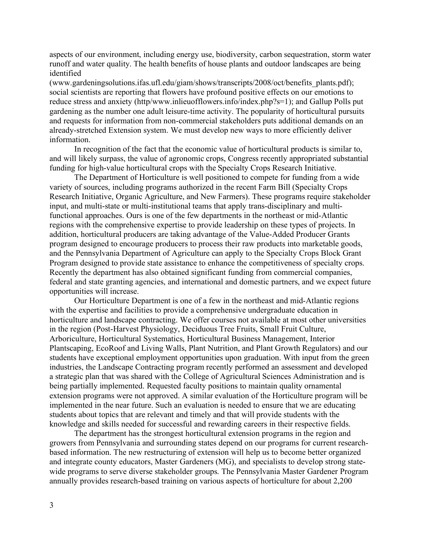aspects of our environment, including energy use, biodiversity, carbon sequestration, storm water runoff and water quality. The health benefits of house plants and outdoor landscapes are being identified

(www.gardeningsolutions.ifas.ufl.edu/giam/shows/transcripts/2008/oct/benefits\_plants.pdf); social scientists are reporting that flowers have profound positive effects on our emotions to reduce stress and anxiety (http/www.inlieuofflowers.info/index.php?s=1); and Gallup Polls put gardening as the number one adult leisure-time activity. The popularity of horticultural pursuits and requests for information from non-commercial stakeholders puts additional demands on an already-stretched Extension system. We must develop new ways to more efficiently deliver information.

In recognition of the fact that the economic value of horticultural products is similar to, and will likely surpass, the value of agronomic crops, Congress recently appropriated substantial funding for high-value horticultural crops with the Specialty Crops Research Initiative.

The Department of Horticulture is well positioned to compete for funding from a wide variety of sources, including programs authorized in the recent Farm Bill (Specialty Crops Research Initiative, Organic Agriculture, and New Farmers). These programs require stakeholder input, and multi-state or multi-institutional teams that apply trans-disciplinary and multifunctional approaches. Ours is one of the few departments in the northeast or mid-Atlantic regions with the comprehensive expertise to provide leadership on these types of projects. In addition, horticultural producers are taking advantage of the Value-Added Producer Grants program designed to encourage producers to process their raw products into marketable goods, and the Pennsylvania Department of Agriculture can apply to the Specialty Crops Block Grant Program designed to provide state assistance to enhance the competitiveness of specialty crops. Recently the department has also obtained significant funding from commercial companies, federal and state granting agencies, and international and domestic partners, and we expect future opportunities will increase.

Our Horticulture Department is one of a few in the northeast and mid-Atlantic regions with the expertise and facilities to provide a comprehensive undergraduate education in horticulture and landscape contracting. We offer courses not available at most other universities in the region (Post-Harvest Physiology, Deciduous Tree Fruits, Small Fruit Culture, Arboriculture, Horticultural Systematics, Horticultural Business Management, Interior Plantscaping, EcoRoof and Living Walls, Plant Nutrition, and Plant Growth Regulators) and our students have exceptional employment opportunities upon graduation. With input from the green industries, the Landscape Contracting program recently performed an assessment and developed a strategic plan that was shared with the College of Agricultural Sciences Administration and is being partially implemented. Requested faculty positions to maintain quality ornamental extension programs were not approved. A similar evaluation of the Horticulture program will be implemented in the near future. Such an evaluation is needed to ensure that we are educating students about topics that are relevant and timely and that will provide students with the knowledge and skills needed for successful and rewarding careers in their respective fields.

The department has the strongest horticultural extension programs in the region and growers from Pennsylvania and surrounding states depend on our programs for current researchbased information. The new restructuring of extension will help us to become better organized and integrate county educators, Master Gardeners (MG), and specialists to develop strong statewide programs to serve diverse stakeholder groups. The Pennsylvania Master Gardener Program annually provides research-based training on various aspects of horticulture for about 2,200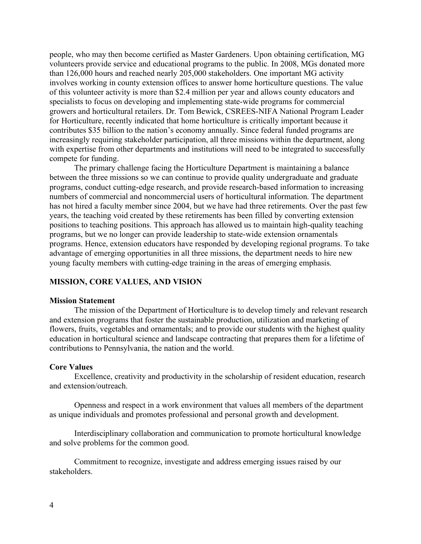people, who may then become certified as Master Gardeners. Upon obtaining certification, MG volunteers provide service and educational programs to the public. In 2008, MGs donated more than 126,000 hours and reached nearly 205,000 stakeholders. One important MG activity involves working in county extension offices to answer home horticulture questions. The value of this volunteer activity is more than \$2.4 million per year and allows county educators and specialists to focus on developing and implementing state-wide programs for commercial growers and horticultural retailers. Dr. Tom Bewick, CSREES-NIFA National Program Leader for Horticulture, recently indicated that home horticulture is critically important because it contributes \$35 billion to the nation's economy annually. Since federal funded programs are increasingly requiring stakeholder participation, all three missions within the department, along with expertise from other departments and institutions will need to be integrated to successfully compete for funding.

The primary challenge facing the Horticulture Department is maintaining a balance between the three missions so we can continue to provide quality undergraduate and graduate programs, conduct cutting-edge research, and provide research-based information to increasing numbers of commercial and noncommercial users of horticultural information. The department has not hired a faculty member since 2004, but we have had three retirements. Over the past few years, the teaching void created by these retirements has been filled by converting extension positions to teaching positions. This approach has allowed us to maintain high-quality teaching programs, but we no longer can provide leadership to state-wide extension ornamentals programs. Hence, extension educators have responded by developing regional programs. To take advantage of emerging opportunities in all three missions, the department needs to hire new young faculty members with cutting-edge training in the areas of emerging emphasis.

#### **MISSION, CORE VALUES, AND VISION**

#### **Mission Statement**

The mission of the Department of Horticulture is to develop timely and relevant research and extension programs that foster the sustainable production, utilization and marketing of flowers, fruits, vegetables and ornamentals; and to provide our students with the highest quality education in horticultural science and landscape contracting that prepares them for a lifetime of contributions to Pennsylvania, the nation and the world.

#### **Core Values**

Excellence, creativity and productivity in the scholarship of resident education, research and extension/outreach.

Openness and respect in a work environment that values all members of the department as unique individuals and promotes professional and personal growth and development.

Interdisciplinary collaboration and communication to promote horticultural knowledge and solve problems for the common good.

Commitment to recognize, investigate and address emerging issues raised by our stakeholders.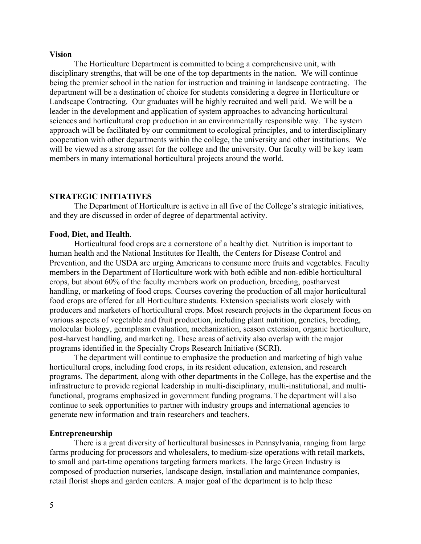#### **Vision**

The Horticulture Department is committed to being a comprehensive unit, with disciplinary strengths, that will be one of the top departments in the nation. We will continue being the premier school in the nation for instruction and training in landscape contracting. The department will be a destination of choice for students considering a degree in Horticulture or Landscape Contracting. Our graduates will be highly recruited and well paid. We will be a leader in the development and application of system approaches to advancing horticultural sciences and horticultural crop production in an environmentally responsible way. The system approach will be facilitated by our commitment to ecological principles, and to interdisciplinary cooperation with other departments within the college, the university and other institutions. We will be viewed as a strong asset for the college and the university. Our faculty will be key team members in many international horticultural projects around the world.

### **STRATEGIC INITIATIVES**

The Department of Horticulture is active in all five of the College's strategic initiatives, and they are discussed in order of degree of departmental activity.

#### **Food, Diet, and Health**.

Horticultural food crops are a cornerstone of a healthy diet. Nutrition is important to human health and the National Institutes for Health, the Centers for Disease Control and Prevention, and the USDA are urging Americans to consume more fruits and vegetables. Faculty members in the Department of Horticulture work with both edible and non-edible horticultural crops, but about 60% of the faculty members work on production, breeding, postharvest handling, or marketing of food crops. Courses covering the production of all major horticultural food crops are offered for all Horticulture students. Extension specialists work closely with producers and marketers of horticultural crops. Most research projects in the department focus on various aspects of vegetable and fruit production, including plant nutrition, genetics, breeding, molecular biology, germplasm evaluation, mechanization, season extension, organic horticulture, post-harvest handling, and marketing. These areas of activity also overlap with the major programs identified in the Specialty Crops Research Initiative (SCRI).

The department will continue to emphasize the production and marketing of high value horticultural crops, including food crops, in its resident education, extension, and research programs. The department, along with other departments in the College, has the expertise and the infrastructure to provide regional leadership in multi-disciplinary, multi-institutional, and multifunctional, programs emphasized in government funding programs. The department will also continue to seek opportunities to partner with industry groups and international agencies to generate new information and train researchers and teachers.

#### **Entrepreneurship**

There is a great diversity of horticultural businesses in Pennsylvania, ranging from large farms producing for processors and wholesalers, to medium-size operations with retail markets, to small and part-time operations targeting farmers markets. The large Green Industry is composed of production nurseries, landscape design, installation and maintenance companies, retail florist shops and garden centers. A major goal of the department is to help these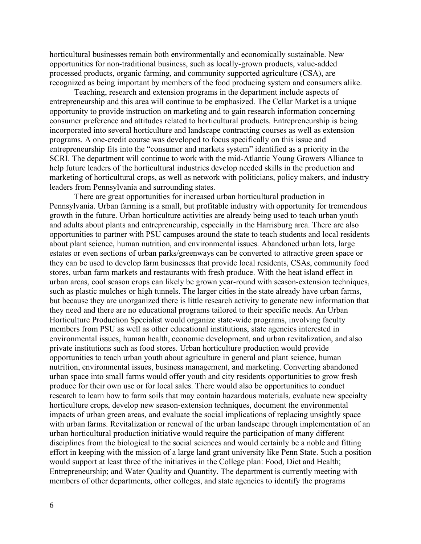horticultural businesses remain both environmentally and economically sustainable. New opportunities for non-traditional business, such as locally-grown products, value-added processed products, organic farming, and community supported agriculture (CSA), are recognized as being important by members of the food producing system and consumers alike.

Teaching, research and extension programs in the department include aspects of entrepreneurship and this area will continue to be emphasized. The Cellar Market is a unique opportunity to provide instruction on marketing and to gain research information concerning consumer preference and attitudes related to horticultural products. Entrepreneurship is being incorporated into several horticulture and landscape contracting courses as well as extension programs. A one-credit course was developed to focus specifically on this issue and entrepreneurship fits into the "consumer and markets system" identified as a priority in the SCRI. The department will continue to work with the mid-Atlantic Young Growers Alliance to help future leaders of the horticultural industries develop needed skills in the production and marketing of horticultural crops, as well as network with politicians, policy makers, and industry leaders from Pennsylvania and surrounding states.

There are great opportunities for increased urban horticultural production in Pennsylvania. Urban farming is a small, but profitable industry with opportunity for tremendous growth in the future. Urban horticulture activities are already being used to teach urban youth and adults about plants and entrepreneurship, especially in the Harrisburg area. There are also opportunities to partner with PSU campuses around the state to teach students and local residents about plant science, human nutrition, and environmental issues. Abandoned urban lots, large estates or even sections of urban parks/greenways can be converted to attractive green space or they can be used to develop farm businesses that provide local residents, CSAs, community food stores, urban farm markets and restaurants with fresh produce. With the heat island effect in urban areas, cool season crops can likely be grown year-round with season-extension techniques, such as plastic mulches or high tunnels. The larger cities in the state already have urban farms, but because they are unorganized there is little research activity to generate new information that they need and there are no educational programs tailored to their specific needs. An Urban Horticulture Production Specialist would organize state-wide programs, involving faculty members from PSU as well as other educational institutions, state agencies interested in environmental issues, human health, economic development, and urban revitalization, and also private institutions such as food stores. Urban horticulture production would provide opportunities to teach urban youth about agriculture in general and plant science, human nutrition, environmental issues, business management, and marketing. Converting abandoned urban space into small farms would offer youth and city residents opportunities to grow fresh produce for their own use or for local sales. There would also be opportunities to conduct research to learn how to farm soils that may contain hazardous materials, evaluate new specialty horticulture crops, develop new season-extension techniques, document the environmental impacts of urban green areas, and evaluate the social implications of replacing unsightly space with urban farms. Revitalization or renewal of the urban landscape through implementation of an urban horticultural production initiative would require the participation of many different disciplines from the biological to the social sciences and would certainly be a noble and fitting effort in keeping with the mission of a large land grant university like Penn State. Such a position would support at least three of the initiatives in the College plan: Food, Diet and Health; Entrepreneurship; and Water Quality and Quantity. The department is currently meeting with members of other departments, other colleges, and state agencies to identify the programs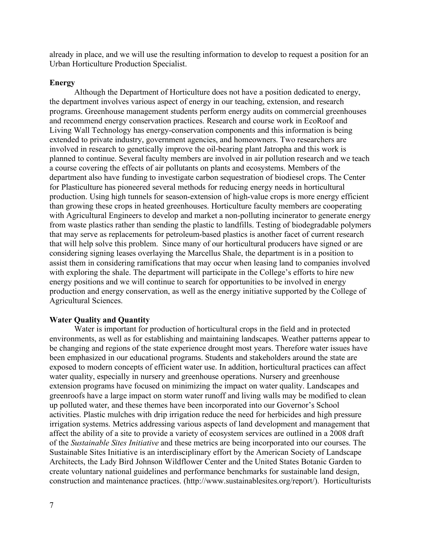already in place, and we will use the resulting information to develop to request a position for an Urban Horticulture Production Specialist.

#### **Energy**

Although the Department of Horticulture does not have a position dedicated to energy, the department involves various aspect of energy in our teaching, extension, and research programs. Greenhouse management students perform energy audits on commercial greenhouses and recommend energy conservation practices. Research and course work in EcoRoof and Living Wall Technology has energy-conservation components and this information is being extended to private industry, government agencies, and homeowners. Two researchers are involved in research to genetically improve the oil-bearing plant Jatropha and this work is planned to continue. Several faculty members are involved in air pollution research and we teach a course covering the effects of air pollutants on plants and ecosystems. Members of the department also have funding to investigate carbon sequestration of biodiesel crops. The Center for Plasticulture has pioneered several methods for reducing energy needs in horticultural production. Using high tunnels for season-extension of high-value crops is more energy efficient than growing these crops in heated greenhouses. Horticulture faculty members are cooperating with Agricultural Engineers to develop and market a non-polluting incinerator to generate energy from waste plastics rather than sending the plastic to landfills. Testing of biodegradable polymers that may serve as replacements for petroleum-based plastics is another facet of current research that will help solve this problem. Since many of our horticultural producers have signed or are considering signing leases overlaying the Marcellus Shale, the department is in a position to assist them in considering ramifications that may occur when leasing land to companies involved with exploring the shale. The department will participate in the College's efforts to hire new energy positions and we will continue to search for opportunities to be involved in energy production and energy conservation, as well as the energy initiative supported by the College of Agricultural Sciences.

#### **Water Quality and Quantity**

Water is important for production of horticultural crops in the field and in protected environments, as well as for establishing and maintaining landscapes. Weather patterns appear to be changing and regions of the state experience drought most years. Therefore water issues have been emphasized in our educational programs. Students and stakeholders around the state are exposed to modern concepts of efficient water use. In addition, horticultural practices can affect water quality, especially in nursery and greenhouse operations. Nursery and greenhouse extension programs have focused on minimizing the impact on water quality. Landscapes and greenroofs have a large impact on storm water runoff and living walls may be modified to clean up polluted water, and these themes have been incorporated into our Governor's School activities. Plastic mulches with drip irrigation reduce the need for herbicides and high pressure irrigation systems. Metrics addressing various aspects of land development and management that affect the ability of a site to provide a variety of ecosystem services are outlined in a 2008 draft of the *Sustainable Sites Initiative* and these metrics are being incorporated into our courses. The Sustainable Sites Initiative is an interdisciplinary effort by the American Society of Landscape Architects, the Lady Bird Johnson Wildflower Center and the United States Botanic Garden to create voluntary national guidelines and performance benchmarks for sustainable land design, construction and maintenance practices. (http://www.sustainablesites.org/report/). Horticulturists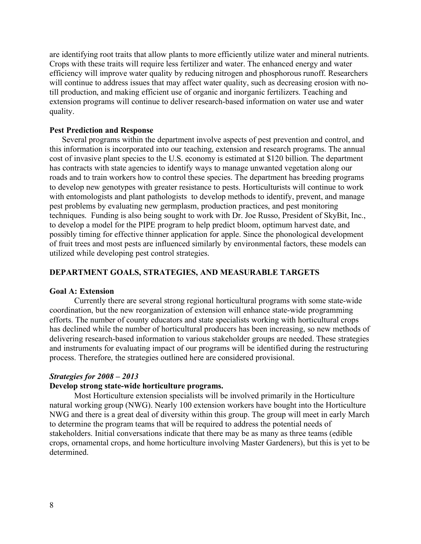are identifying root traits that allow plants to more efficiently utilize water and mineral nutrients. Crops with these traits will require less fertilizer and water. The enhanced energy and water efficiency will improve water quality by reducing nitrogen and phosphorous runoff. Researchers will continue to address issues that may affect water quality, such as decreasing erosion with notill production, and making efficient use of organic and inorganic fertilizers. Teaching and extension programs will continue to deliver research-based information on water use and water quality.

#### **Pest Prediction and Response**

Several programs within the department involve aspects of pest prevention and control, and this information is incorporated into our teaching, extension and research programs. The annual cost of invasive plant species to the U.S. economy is estimated at \$120 billion. The department has contracts with state agencies to identify ways to manage unwanted vegetation along our roads and to train workers how to control these species. The department has breeding programs to develop new genotypes with greater resistance to pests. Horticulturists will continue to work with entomologists and plant pathologists to develop methods to identify, prevent, and manage pest problems by evaluating new germplasm, production practices, and pest monitoring techniques. Funding is also being sought to work with Dr. Joe Russo, President of SkyBit, Inc., to develop a model for the PIPE program to help predict bloom, optimum harvest date, and possibly timing for effective thinner application for apple. Since the phonological development of fruit trees and most pests are influenced similarly by environmental factors, these models can utilized while developing pest control strategies.

#### **DEPARTMENT GOALS, STRATEGIES, AND MEASURABLE TARGETS**

#### **Goal A: Extension**

Currently there are several strong regional horticultural programs with some state-wide coordination, but the new reorganization of extension will enhance state-wide programming efforts. The number of county educators and state specialists working with horticultural crops has declined while the number of horticultural producers has been increasing, so new methods of delivering research-based information to various stakeholder groups are needed. These strategies and instruments for evaluating impact of our programs will be identified during the restructuring process. Therefore, the strategies outlined here are considered provisional.

#### *Strategies for 2008 – 2013*

#### **Develop strong state-wide horticulture programs.**

Most Horticulture extension specialists will be involved primarily in the Horticulture natural working group (NWG). Nearly 100 extension workers have bought into the Horticulture NWG and there is a great deal of diversity within this group. The group will meet in early March to determine the program teams that will be required to address the potential needs of stakeholders. Initial conversations indicate that there may be as many as three teams (edible crops, ornamental crops, and home horticulture involving Master Gardeners), but this is yet to be determined.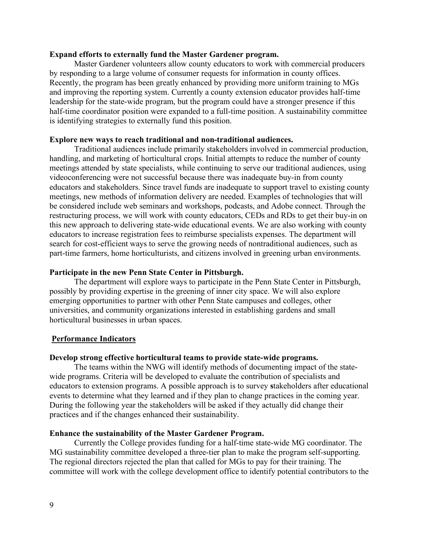#### **Expand efforts to externally fund the Master Gardener program.**

Master Gardener volunteers allow county educators to work with commercial producers by responding to a large volume of consumer requests for information in county offices. Recently, the program has been greatly enhanced by providing more uniform training to MGs and improving the reporting system. Currently a county extension educator provides half-time leadership for the state-wide program, but the program could have a stronger presence if this half-time coordinator position were expanded to a full-time position. A sustainability committee is identifying strategies to externally fund this position.

#### **Explore new ways to reach traditional and non-traditional audiences.**

Traditional audiences include primarily stakeholders involved in commercial production, handling, and marketing of horticultural crops. Initial attempts to reduce the number of county meetings attended by state specialists, while continuing to serve our traditional audiences, using videoconferencing were not successful because there was inadequate buy-in from county educators and stakeholders. Since travel funds are inadequate to support travel to existing county meetings, new methods of information delivery are needed. Examples of technologies that will be considered include web seminars and workshops, podcasts, and Adobe connect. Through the restructuring process, we will work with county educators, CEDs and RDs to get their buy-in on this new approach to delivering state-wide educational events. We are also working with county educators to increase registration fees to reimburse specialists expenses. The department will search for cost-efficient ways to serve the growing needs of nontraditional audiences, such as part-time farmers, home horticulturists, and citizens involved in greening urban environments.

#### **Participate in the new Penn State Center in Pittsburgh.**

The department will explore ways to participate in the Penn State Center in Pittsburgh, possibly by providing expertise in the greening of inner city space. We will also explore emerging opportunities to partner with other Penn State campuses and colleges, other universities, and community organizations interested in establishing gardens and small horticultural businesses in urban spaces.

#### **Performance Indicators**

#### **Develop strong effective horticultural teams to provide state-wide programs.**

The teams within the NWG will identify methods of documenting impact of the statewide programs. Criteria will be developed to evaluate the contribution of specialists and educators to extension programs. A possible approach is to survey **s**takeholders after educational events to determine what they learned and if they plan to change practices in the coming year. During the following year the stakeholders will be asked if they actually did change their practices and if the changes enhanced their sustainability.

#### **Enhance the sustainability of the Master Gardener Program.**

Currently the College provides funding for a half-time state-wide MG coordinator. The MG sustainability committee developed a three-tier plan to make the program self-supporting. The regional directors rejected the plan that called for MGs to pay for their training. The committee will work with the college development office to identify potential contributors to the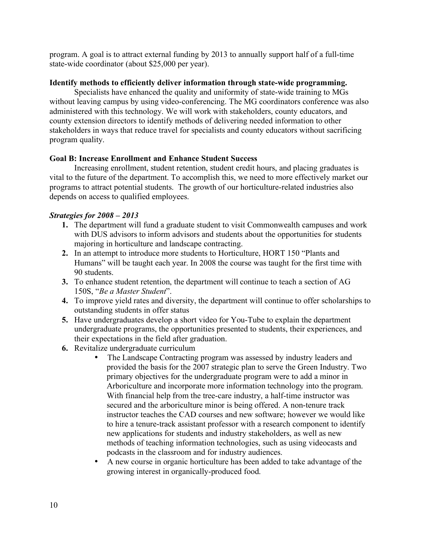program. A goal is to attract external funding by 2013 to annually support half of a full-time state-wide coordinator (about \$25,000 per year).

### **Identify methods to efficiently deliver information through state-wide programming.**

Specialists have enhanced the quality and uniformity of state-wide training to MGs without leaving campus by using video-conferencing. The MG coordinators conference was also administered with this technology. We will work with stakeholders, county educators, and county extension directors to identify methods of delivering needed information to other stakeholders in ways that reduce travel for specialists and county educators without sacrificing program quality.

### **Goal B: Increase Enrollment and Enhance Student Success**

Increasing enrollment, student retention, student credit hours, and placing graduates is vital to the future of the department. To accomplish this, we need to more effectively market our programs to attract potential students. The growth of our horticulture-related industries also depends on access to qualified employees.

### *Strategies for 2008 – 2013*

- **1.** The department will fund a graduate student to visit Commonwealth campuses and work with DUS advisors to inform advisors and students about the opportunities for students majoring in horticulture and landscape contracting.
- **2.** In an attempt to introduce more students to Horticulture, HORT 150 "Plants and Humans" will be taught each year. In 2008 the course was taught for the first time with 90 students.
- **3.** To enhance student retention, the department will continue to teach a section of AG 150S, "*Be a Master Student*".
- **4.** To improve yield rates and diversity, the department will continue to offer scholarships to outstanding students in offer status
- **5.** Have undergraduates develop a short video for You-Tube to explain the department undergraduate programs, the opportunities presented to students, their experiences, and their expectations in the field after graduation.
- **6.** Revitalize undergraduate curriculum
	- The Landscape Contracting program was assessed by industry leaders and provided the basis for the 2007 strategic plan to serve the Green Industry. Two primary objectives for the undergraduate program were to add a minor in Arboriculture and incorporate more information technology into the program. With financial help from the tree-care industry, a half-time instructor was secured and the arboriculture minor is being offered. A non-tenure track instructor teaches the CAD courses and new software; however we would like to hire a tenure-track assistant professor with a research component to identify new applications for students and industry stakeholders, as well as new methods of teaching information technologies, such as using videocasts and podcasts in the classroom and for industry audiences.
	- A new course in organic horticulture has been added to take advantage of the growing interest in organically-produced food.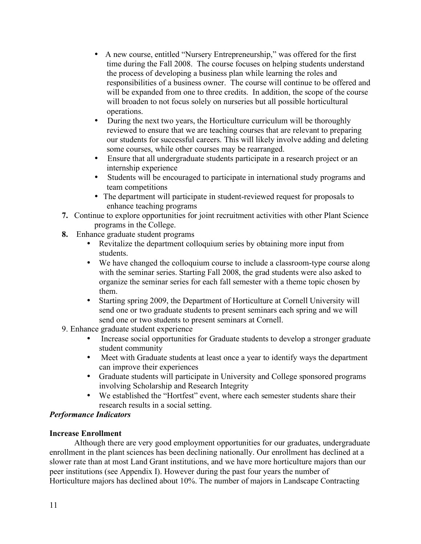- A new course, entitled "Nursery Entrepreneurship," was offered for the first time during the Fall 2008. The course focuses on helping students understand the process of developing a business plan while learning the roles and responsibilities of a business owner. The course will continue to be offered and will be expanded from one to three credits. In addition, the scope of the course will broaden to not focus solely on nurseries but all possible horticultural operations.
- During the next two years, the Horticulture curriculum will be thoroughly reviewed to ensure that we are teaching courses that are relevant to preparing our students for successful careers. This will likely involve adding and deleting some courses, while other courses may be rearranged.
- Ensure that all undergraduate students participate in a research project or an internship experience
- Students will be encouraged to participate in international study programs and team competitions
- The department will participate in student-reviewed request for proposals to enhance teaching programs
- **7.** Continue to explore opportunities for joint recruitment activities with other Plant Science programs in the College.
- **8.** Enhance graduate student programs
	- Revitalize the department colloquium series by obtaining more input from students.
	- We have changed the colloquium course to include a classroom-type course along with the seminar series. Starting Fall 2008, the grad students were also asked to organize the seminar series for each fall semester with a theme topic chosen by them.
	- Starting spring 2009, the Department of Horticulture at Cornell University will send one or two graduate students to present seminars each spring and we will send one or two students to present seminars at Cornell.
- 9. Enhance graduate student experience
	- Increase social opportunities for Graduate students to develop a stronger graduate student community
	- Meet with Graduate students at least once a year to identify ways the department can improve their experiences
	- Graduate students will participate in University and College sponsored programs involving Scholarship and Research Integrity
	- We established the "Hortfest" event, where each semester students share their research results in a social setting.

### *Performance Indicators*

### **Increase Enrollment**

Although there are very good employment opportunities for our graduates, undergraduate enrollment in the plant sciences has been declining nationally. Our enrollment has declined at a slower rate than at most Land Grant institutions, and we have more horticulture majors than our peer institutions (see Appendix I). However during the past four years the number of Horticulture majors has declined about 10%. The number of majors in Landscape Contracting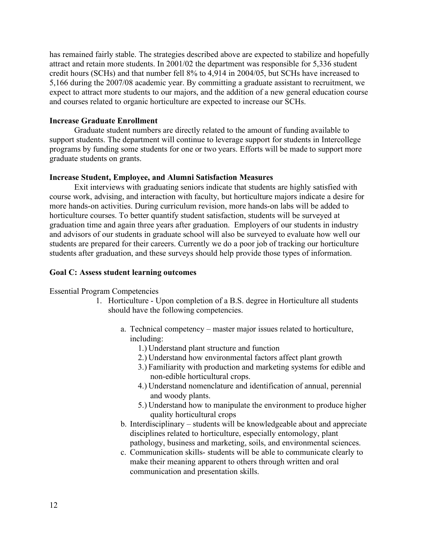has remained fairly stable. The strategies described above are expected to stabilize and hopefully attract and retain more students. In 2001/02 the department was responsible for 5,336 student credit hours (SCHs) and that number fell 8% to 4,914 in 2004/05, but SCHs have increased to 5,166 during the 2007/08 academic year. By committing a graduate assistant to recruitment, we expect to attract more students to our majors, and the addition of a new general education course and courses related to organic horticulture are expected to increase our SCHs.

#### **Increase Graduate Enrollment**

Graduate student numbers are directly related to the amount of funding available to support students. The department will continue to leverage support for students in Intercollege programs by funding some students for one or two years. Efforts will be made to support more graduate students on grants.

#### **Increase Student, Employee, and Alumni Satisfaction Measures**

Exit interviews with graduating seniors indicate that students are highly satisfied with course work, advising, and interaction with faculty, but horticulture majors indicate a desire for more hands-on activities. During curriculum revision, more hands-on labs will be added to horticulture courses. To better quantify student satisfaction, students will be surveyed at graduation time and again three years after graduation. Employers of our students in industry and advisors of our students in graduate school will also be surveyed to evaluate how well our students are prepared for their careers. Currently we do a poor job of tracking our horticulture students after graduation, and these surveys should help provide those types of information.

#### **Goal C: Assess student learning outcomes**

Essential Program Competencies

- 1. Horticulture Upon completion of a B.S. degree in Horticulture all students should have the following competencies.
	- a. Technical competency master major issues related to horticulture, including:
		- 1.) Understand plant structure and function
		- 2.) Understand how environmental factors affect plant growth
		- 3.) Familiarity with production and marketing systems for edible and non-edible horticultural crops.
		- 4.) Understand nomenclature and identification of annual, perennial and woody plants.
		- 5.) Understand how to manipulate the environment to produce higher quality horticultural crops
	- b. Interdisciplinary students will be knowledgeable about and appreciate disciplines related to horticulture, especially entomology, plant pathology, business and marketing, soils, and environmental sciences.
	- c. Communication skills- students will be able to communicate clearly to make their meaning apparent to others through written and oral communication and presentation skills.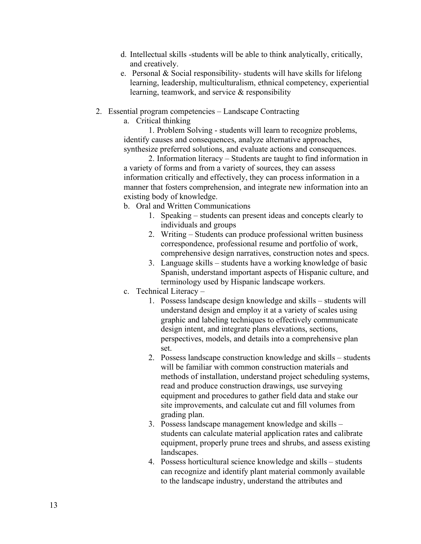- d. Intellectual skills -students will be able to think analytically, critically, and creatively.
- e. Personal & Social responsibility- students will have skills for lifelong learning, leadership, multiculturalism, ethnical competency, experiential learning, teamwork, and service & responsibility
- 2. Essential program competencies Landscape Contracting
	- a. Critical thinking

1. Problem Solving - students will learn to recognize problems, identify causes and consequences, analyze alternative approaches, synthesize preferred solutions, and evaluate actions and consequences.

2. Information literacy – Students are taught to find information in a variety of forms and from a variety of sources, they can assess information critically and effectively, they can process information in a manner that fosters comprehension, and integrate new information into an existing body of knowledge.

- b. Oral and Written Communications
	- 1. Speaking students can present ideas and concepts clearly to individuals and groups
	- 2. Writing Students can produce professional written business correspondence, professional resume and portfolio of work, comprehensive design narratives, construction notes and specs.
	- 3. Language skills students have a working knowledge of basic Spanish, understand important aspects of Hispanic culture, and terminology used by Hispanic landscape workers.
- c. Technical Literacy
	- 1. Possess landscape design knowledge and skills students will understand design and employ it at a variety of scales using graphic and labeling techniques to effectively communicate design intent, and integrate plans elevations, sections, perspectives, models, and details into a comprehensive plan set.
	- 2. Possess landscape construction knowledge and skills students will be familiar with common construction materials and methods of installation, understand project scheduling systems, read and produce construction drawings, use surveying equipment and procedures to gather field data and stake our site improvements, and calculate cut and fill volumes from grading plan.
	- 3. Possess landscape management knowledge and skills students can calculate material application rates and calibrate equipment, properly prune trees and shrubs, and assess existing landscapes.
	- 4. Possess horticultural science knowledge and skills students can recognize and identify plant material commonly available to the landscape industry, understand the attributes and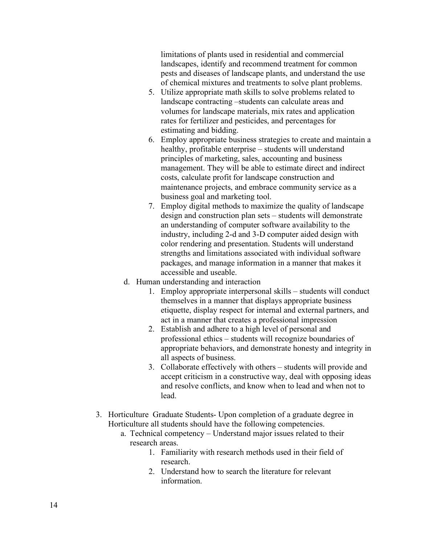limitations of plants used in residential and commercial landscapes, identify and recommend treatment for common pests and diseases of landscape plants, and understand the use of chemical mixtures and treatments to solve plant problems.

- 5. Utilize appropriate math skills to solve problems related to landscape contracting –students can calculate areas and volumes for landscape materials, mix rates and application rates for fertilizer and pesticides, and percentages for estimating and bidding.
- 6. Employ appropriate business strategies to create and maintain a healthy, profitable enterprise – students will understand principles of marketing, sales, accounting and business management. They will be able to estimate direct and indirect costs, calculate profit for landscape construction and maintenance projects, and embrace community service as a business goal and marketing tool.
- 7. Employ digital methods to maximize the quality of landscape design and construction plan sets – students will demonstrate an understanding of computer software availability to the industry, including 2-d and 3-D computer aided design with color rendering and presentation. Students will understand strengths and limitations associated with individual software packages, and manage information in a manner that makes it accessible and useable.
- d. Human understanding and interaction
	- 1. Employ appropriate interpersonal skills students will conduct themselves in a manner that displays appropriate business etiquette, display respect for internal and external partners, and act in a manner that creates a professional impression
	- 2. Establish and adhere to a high level of personal and professional ethics – students will recognize boundaries of appropriate behaviors, and demonstrate honesty and integrity in all aspects of business.
	- 3. Collaborate effectively with others students will provide and accept criticism in a constructive way, deal with opposing ideas and resolve conflicts, and know when to lead and when not to lead.
- 3. Horticulture Graduate Students- Upon completion of a graduate degree in Horticulture all students should have the following competencies.
	- a. Technical competency Understand major issues related to their research areas.
		- 1. Familiarity with research methods used in their field of research.
		- 2. Understand how to search the literature for relevant information.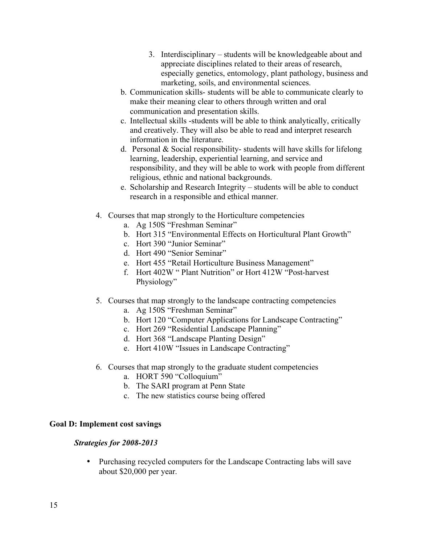- 3. Interdisciplinary students will be knowledgeable about and appreciate disciplines related to their areas of research, especially genetics, entomology, plant pathology, business and marketing, soils, and environmental sciences.
- b. Communication skills- students will be able to communicate clearly to make their meaning clear to others through written and oral communication and presentation skills.
- c. Intellectual skills -students will be able to think analytically, critically and creatively. They will also be able to read and interpret research information in the literature.
- d. Personal & Social responsibility- students will have skills for lifelong learning, leadership, experiential learning, and service and responsibility, and they will be able to work with people from different religious, ethnic and national backgrounds.
- e. Scholarship and Research Integrity students will be able to conduct research in a responsible and ethical manner.
- 4. Courses that map strongly to the Horticulture competencies
	- a. Ag 150S "Freshman Seminar"
	- b. Hort 315 "Environmental Effects on Horticultural Plant Growth"
	- c. Hort 390 "Junior Seminar"
	- d. Hort 490 "Senior Seminar"
	- e. Hort 455 "Retail Horticulture Business Management"
	- f. Hort 402W " Plant Nutrition" or Hort 412W "Post-harvest Physiology"
- 5. Courses that map strongly to the landscape contracting competencies
	- a. Ag 150S "Freshman Seminar"
	- b. Hort 120 "Computer Applications for Landscape Contracting"
	- c. Hort 269 "Residential Landscape Planning"
	- d. Hort 368 "Landscape Planting Design"
	- e. Hort 410W "Issues in Landscape Contracting"
- 6. Courses that map strongly to the graduate student competencies
	- a. HORT 590 "Colloquium"
	- b. The SARI program at Penn State
	- c. The new statistics course being offered

### **Goal D: Implement cost savings**

### *Strategies for 2008-2013*

• Purchasing recycled computers for the Landscape Contracting labs will save about \$20,000 per year.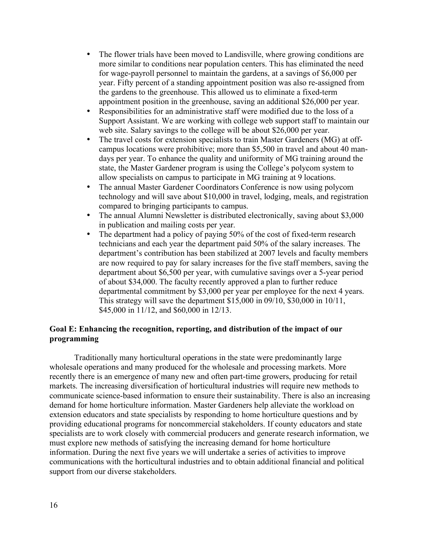- The flower trials have been moved to Landisville, where growing conditions are more similar to conditions near population centers. This has eliminated the need for wage-payroll personnel to maintain the gardens, at a savings of \$6,000 per year. Fifty percent of a standing appointment position was also re-assigned from the gardens to the greenhouse. This allowed us to eliminate a fixed-term appointment position in the greenhouse, saving an additional \$26,000 per year.
- Responsibilities for an administrative staff were modified due to the loss of a Support Assistant. We are working with college web support staff to maintain our web site. Salary savings to the college will be about \$26,000 per year.
- The travel costs for extension specialists to train Master Gardeners (MG) at offcampus locations were prohibitive; more than \$5,500 in travel and about 40 mandays per year. To enhance the quality and uniformity of MG training around the state, the Master Gardener program is using the College's polycom system to allow specialists on campus to participate in MG training at 9 locations.
- The annual Master Gardener Coordinators Conference is now using polycom technology and will save about \$10,000 in travel, lodging, meals, and registration compared to bringing participants to campus.
- The annual Alumni Newsletter is distributed electronically, saving about \$3,000 in publication and mailing costs per year.
- The department had a policy of paying 50% of the cost of fixed-term research technicians and each year the department paid 50% of the salary increases. The department's contribution has been stabilized at 2007 levels and faculty members are now required to pay for salary increases for the five staff members, saving the department about \$6,500 per year, with cumulative savings over a 5-year period of about \$34,000. The faculty recently approved a plan to further reduce departmental commitment by \$3,000 per year per employee for the next 4 years. This strategy will save the department \$15,000 in 09/10, \$30,000 in 10/11, \$45,000 in 11/12, and \$60,000 in 12/13.

### **Goal E: Enhancing the recognition, reporting, and distribution of the impact of our programming**

Traditionally many horticultural operations in the state were predominantly large wholesale operations and many produced for the wholesale and processing markets. More recently there is an emergence of many new and often part-time growers, producing for retail markets. The increasing diversification of horticultural industries will require new methods to communicate science-based information to ensure their sustainability. There is also an increasing demand for home horticulture information. Master Gardeners help alleviate the workload on extension educators and state specialists by responding to home horticulture questions and by providing educational programs for noncommercial stakeholders. If county educators and state specialists are to work closely with commercial producers and generate research information, we must explore new methods of satisfying the increasing demand for home horticulture information. During the next five years we will undertake a series of activities to improve communications with the horticultural industries and to obtain additional financial and political support from our diverse stakeholders.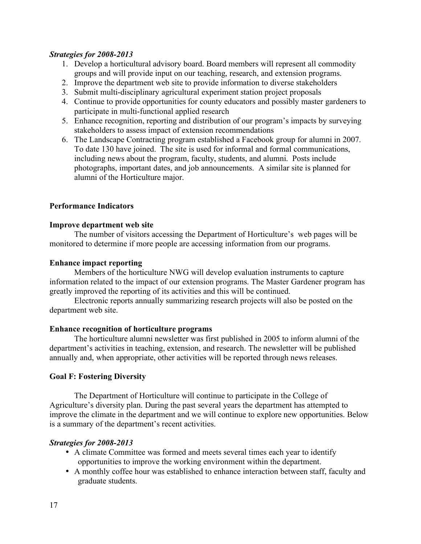### *Strategies for 2008-2013*

- 1. Develop a horticultural advisory board. Board members will represent all commodity groups and will provide input on our teaching, research, and extension programs.
- 2. Improve the department web site to provide information to diverse stakeholders
- 3. Submit multi-disciplinary agricultural experiment station project proposals
- 4. Continue to provide opportunities for county educators and possibly master gardeners to participate in multi-functional applied research
- 5. Enhance recognition, reporting and distribution of our program's impacts by surveying stakeholders to assess impact of extension recommendations
- 6. The Landscape Contracting program established a Facebook group for alumni in 2007. To date 130 have joined. The site is used for informal and formal communications, including news about the program, faculty, students, and alumni. Posts include photographs, important dates, and job announcements. A similar site is planned for alumni of the Horticulture major.

### **Performance Indicators**

### **Improve department web site**

The number of visitors accessing the Department of Horticulture's web pages will be monitored to determine if more people are accessing information from our programs.

### **Enhance impact reporting**

Members of the horticulture NWG will develop evaluation instruments to capture information related to the impact of our extension programs. The Master Gardener program has greatly improved the reporting of its activities and this will be continued.

Electronic reports annually summarizing research projects will also be posted on the department web site.

### **Enhance recognition of horticulture programs**

The horticulture alumni newsletter was first published in 2005 to inform alumni of the department's activities in teaching, extension, and research. The newsletter will be published annually and, when appropriate, other activities will be reported through news releases.

### **Goal F: Fostering Diversity**

The Department of Horticulture will continue to participate in the College of Agriculture's diversity plan. During the past several years the department has attempted to improve the climate in the department and we will continue to explore new opportunities. Below is a summary of the department's recent activities.

### *Strategies for 2008-2013*

- A climate Committee was formed and meets several times each year to identify opportunities to improve the working environment within the department.
- A monthly coffee hour was established to enhance interaction between staff, faculty and graduate students.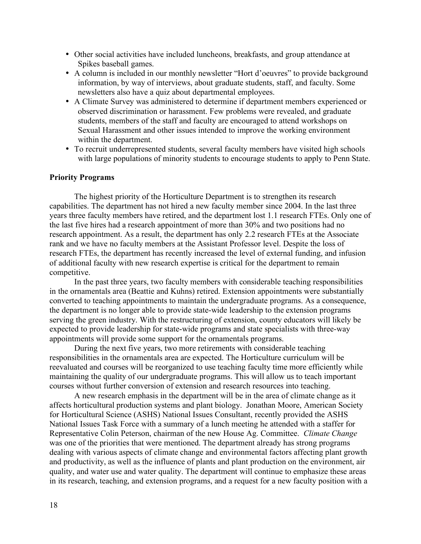- Other social activities have included luncheons, breakfasts, and group attendance at Spikes baseball games.
- A column is included in our monthly newsletter "Hort d'oeuvres" to provide background information, by way of interviews, about graduate students, staff, and faculty. Some newsletters also have a quiz about departmental employees.
- A Climate Survey was administered to determine if department members experienced or observed discrimination or harassment. Few problems were revealed, and graduate students, members of the staff and faculty are encouraged to attend workshops on Sexual Harassment and other issues intended to improve the working environment within the department.
- To recruit underrepresented students, several faculty members have visited high schools with large populations of minority students to encourage students to apply to Penn State.

### **Priority Programs**

The highest priority of the Horticulture Department is to strengthen its research capabilities. The department has not hired a new faculty member since 2004. In the last three years three faculty members have retired, and the department lost 1.1 research FTEs. Only one of the last five hires had a research appointment of more than 30% and two positions had no research appointment. As a result, the department has only 2.2 research FTEs at the Associate rank and we have no faculty members at the Assistant Professor level. Despite the loss of research FTEs, the department has recently increased the level of external funding, and infusion of additional faculty with new research expertise is critical for the department to remain competitive.

In the past three years, two faculty members with considerable teaching responsibilities in the ornamentals area (Beattie and Kuhns) retired. Extension appointments were substantially converted to teaching appointments to maintain the undergraduate programs. As a consequence, the department is no longer able to provide state-wide leadership to the extension programs serving the green industry. With the restructuring of extension, county educators will likely be expected to provide leadership for state-wide programs and state specialists with three-way appointments will provide some support for the ornamentals programs.

During the next five years, two more retirements with considerable teaching responsibilities in the ornamentals area are expected. The Horticulture curriculum will be reevaluated and courses will be reorganized to use teaching faculty time more efficiently while maintaining the quality of our undergraduate programs. This will allow us to teach important courses without further conversion of extension and research resources into teaching.

A new research emphasis in the department will be in the area of climate change as it affects horticultural production systems and plant biology. Jonathan Moore, American Society for Horticultural Science (ASHS) National Issues Consultant, recently provided the ASHS National Issues Task Force with a summary of a lunch meeting he attended with a staffer for Representative Colin Peterson, chairman of the new House Ag. Committee. *Climate Change* was one of the priorities that were mentioned. The department already has strong programs dealing with various aspects of climate change and environmental factors affecting plant growth and productivity, as well as the influence of plants and plant production on the environment, air quality, and water use and water quality. The department will continue to emphasize these areas in its research, teaching, and extension programs, and a request for a new faculty position with a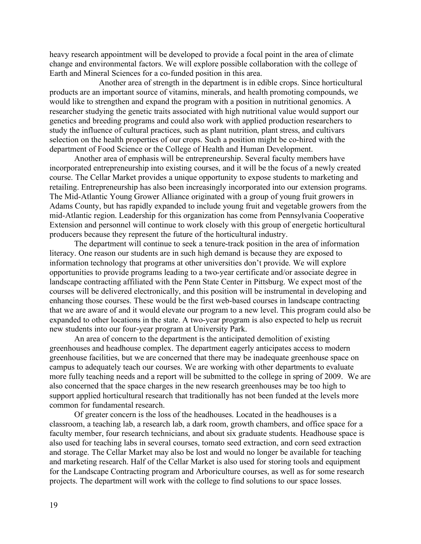heavy research appointment will be developed to provide a focal point in the area of climate change and environmental factors. We will explore possible collaboration with the college of Earth and Mineral Sciences for a co-funded position in this area.

Another area of strength in the department is in edible crops. Since horticultural products are an important source of vitamins, minerals, and health promoting compounds, we would like to strengthen and expand the program with a position in nutritional genomics. A researcher studying the genetic traits associated with high nutritional value would support our genetics and breeding programs and could also work with applied production researchers to study the influence of cultural practices, such as plant nutrition, plant stress, and cultivars selection on the health properties of our crops. Such a position might be co-hired with the department of Food Science or the College of Health and Human Development.

Another area of emphasis will be entrepreneurship. Several faculty members have incorporated entrepreneurship into existing courses, and it will be the focus of a newly created course. The Cellar Market provides a unique opportunity to expose students to marketing and retailing. Entrepreneurship has also been increasingly incorporated into our extension programs. The Mid-Atlantic Young Grower Alliance originated with a group of young fruit growers in Adams County, but has rapidly expanded to include young fruit and vegetable growers from the mid-Atlantic region. Leadership for this organization has come from Pennsylvania Cooperative Extension and personnel will continue to work closely with this group of energetic horticultural producers because they represent the future of the horticultural industry.

The department will continue to seek a tenure-track position in the area of information literacy. One reason our students are in such high demand is because they are exposed to information technology that programs at other universities don't provide. We will explore opportunities to provide programs leading to a two-year certificate and/or associate degree in landscape contracting affiliated with the Penn State Center in Pittsburg. We expect most of the courses will be delivered electronically, and this position will be instrumental in developing and enhancing those courses. These would be the first web-based courses in landscape contracting that we are aware of and it would elevate our program to a new level. This program could also be expanded to other locations in the state. A two-year program is also expected to help us recruit new students into our four-year program at University Park.

An area of concern to the department is the anticipated demolition of existing greenhouses and headhouse complex. The department eagerly anticipates access to modern greenhouse facilities, but we are concerned that there may be inadequate greenhouse space on campus to adequately teach our courses. We are working with other departments to evaluate more fully teaching needs and a report will be submitted to the college in spring of 2009. We are also concerned that the space charges in the new research greenhouses may be too high to support applied horticultural research that traditionally has not been funded at the levels more common for fundamental research.

Of greater concern is the loss of the headhouses. Located in the headhouses is a classroom, a teaching lab, a research lab, a dark room, growth chambers, and office space for a faculty member, four research technicians, and about six graduate students. Headhouse space is also used for teaching labs in several courses, tomato seed extraction, and corn seed extraction and storage. The Cellar Market may also be lost and would no longer be available for teaching and marketing research. Half of the Cellar Market is also used for storing tools and equipment for the Landscape Contracting program and Arboriculture courses, as well as for some research projects. The department will work with the college to find solutions to our space losses.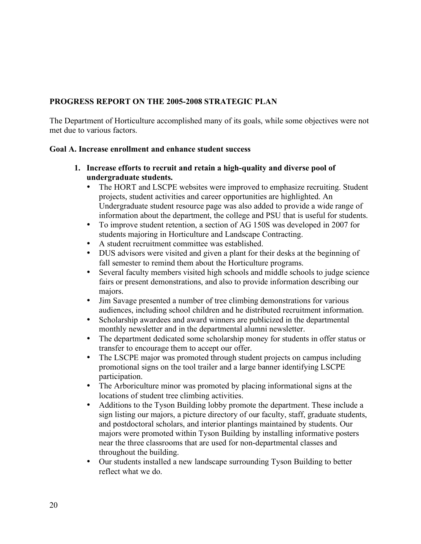# **PROGRESS REPORT ON THE 2005-2008 STRATEGIC PLAN**

The Department of Horticulture accomplished many of its goals, while some objectives were not met due to various factors.

### **Goal A. Increase enrollment and enhance student success**

- **1. Increase efforts to recruit and retain a high-quality and diverse pool of undergraduate students.**
	- The HORT and LSCPE websites were improved to emphasize recruiting. Student projects, student activities and career opportunities are highlighted. An Undergraduate student resource page was also added to provide a wide range of information about the department, the college and PSU that is useful for students.
	- To improve student retention, a section of AG 150S was developed in 2007 for students majoring in Horticulture and Landscape Contracting.
	- A student recruitment committee was established.
	- DUS advisors were visited and given a plant for their desks at the beginning of fall semester to remind them about the Horticulture programs.
	- Several faculty members visited high schools and middle schools to judge science fairs or present demonstrations, and also to provide information describing our majors.
	- Jim Savage presented a number of tree climbing demonstrations for various audiences, including school children and he distributed recruitment information.
	- Scholarship awardees and award winners are publicized in the departmental monthly newsletter and in the departmental alumni newsletter.
	- The department dedicated some scholarship money for students in offer status or transfer to encourage them to accept our offer.
	- The LSCPE major was promoted through student projects on campus including promotional signs on the tool trailer and a large banner identifying LSCPE participation.
	- The Arboriculture minor was promoted by placing informational signs at the locations of student tree climbing activities.
	- Additions to the Tyson Building lobby promote the department. These include a sign listing our majors, a picture directory of our faculty, staff, graduate students, and postdoctoral scholars, and interior plantings maintained by students. Our majors were promoted within Tyson Building by installing informative posters near the three classrooms that are used for non-departmental classes and throughout the building.
	- Our students installed a new landscape surrounding Tyson Building to better reflect what we do.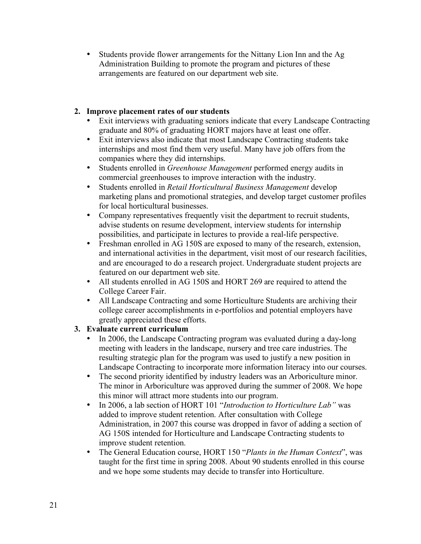• Students provide flower arrangements for the Nittany Lion Inn and the Ag Administration Building to promote the program and pictures of these arrangements are featured on our department web site.

# **2. Improve placement rates of our students**

- Exit interviews with graduating seniors indicate that every Landscape Contracting graduate and 80% of graduating HORT majors have at least one offer.
- Exit interviews also indicate that most Landscape Contracting students take internships and most find them very useful. Many have job offers from the companies where they did internships.
- Students enrolled in *Greenhouse Management* performed energy audits in commercial greenhouses to improve interaction with the industry.
- Students enrolled in *Retail Horticultural Business Management* develop marketing plans and promotional strategies, and develop target customer profiles for local horticultural businesses.
- Company representatives frequently visit the department to recruit students, advise students on resume development, interview students for internship possibilities, and participate in lectures to provide a real-life perspective.
- Freshman enrolled in AG 150S are exposed to many of the research, extension, and international activities in the department, visit most of our research facilities, and are encouraged to do a research project. Undergraduate student projects are featured on our department web site.
- All students enrolled in AG 150S and HORT 269 are required to attend the College Career Fair.
- All Landscape Contracting and some Horticulture Students are archiving their college career accomplishments in e-portfolios and potential employers have greatly appreciated these efforts.

# **3. Evaluate current curriculum**

- In 2006, the Landscape Contracting program was evaluated during a day-long meeting with leaders in the landscape, nursery and tree care industries. The resulting strategic plan for the program was used to justify a new position in Landscape Contracting to incorporate more information literacy into our courses.
- The second priority identified by industry leaders was an Arboriculture minor. The minor in Arboriculture was approved during the summer of 2008. We hope this minor will attract more students into our program.
- In 2006, a lab section of HORT 101 "*Introduction to Horticulture Lab"* was added to improve student retention. After consultation with College Administration, in 2007 this course was dropped in favor of adding a section of AG 150S intended for Horticulture and Landscape Contracting students to improve student retention.
- The General Education course, HORT 150 "*Plants in the Human Context*", was taught for the first time in spring 2008. About 90 students enrolled in this course and we hope some students may decide to transfer into Horticulture.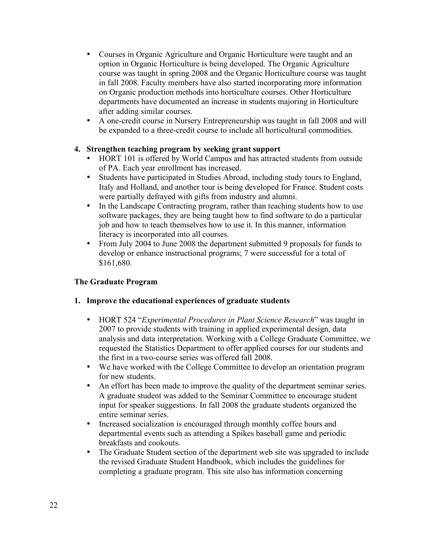- Courses in Organic Agriculture and Organic Horticulture were taught and an option in Organic Horticulture is being developed. The Organic Agriculture course was taught in spring 2008 and the Organic Horticulture course was taught in fall 2008. Faculty members have also started incorporating more information on Organic production methods into horticulture courses. Other Horticulture departments have documented an increase in students majoring in Horticulture after adding similar courses.
- A one-credit course in Nursery Entrepreneurship was taught in fall 2008 and will be expanded to a three-credit course to include all horticultural commodities.

## **4. Strengthen teaching program by seeking grant support**

- HORT 101 is offered by World Campus and has attracted students from outside of PA. Each year enrollment has increased.
- Students have participated in Studies Abroad, including study tours to England, Italy and Holland, and another tour is being developed for France. Student costs were partially defrayed with gifts from industry and alumni.
- In the Landscape Contracting program, rather than teaching students how to use software packages, they are being taught how to find software to do a particular job and how to teach themselves how to use it. In this manner, information literacy is incorporated into all courses.
- From July 2004 to June 2008 the department submitted 9 proposals for funds to develop or enhance instructional programs; 7 were successful for a total of \$161,680.

# **The Graduate Program**

### **1. Improve the educational experiences of graduate students**

- HORT 524 "*Experimental Procedures in Plant Science Research*" was taught in 2007 to provide students with training in applied experimental design, data analysis and data interpretation. Working with a College Graduate Committee, we requested the Statistics Department to offer applied courses for our students and the first in a two-course series was offered fall 2008.
- We have worked with the College Committee to develop an orientation program for new students.
- An effort has been made to improve the quality of the department seminar series. A graduate student was added to the Seminar Committee to encourage student input for speaker suggestions. In fall 2008 the graduate students organized the entire seminar series.
- Increased socialization is encouraged through monthly coffee hours and departmental events such as attending a Spikes baseball game and periodic breakfasts and cookouts.
- The Graduate Student section of the department web site was upgraded to include the revised Graduate Student Handbook, which includes the guidelines for completing a graduate program. This site also has information concerning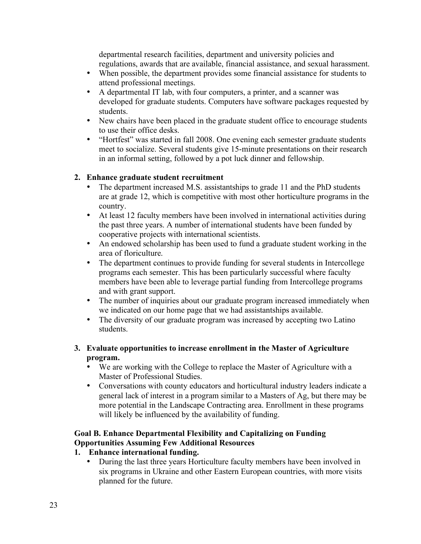departmental research facilities, department and university policies and regulations, awards that are available, financial assistance, and sexual harassment.

- When possible, the department provides some financial assistance for students to attend professional meetings.
- A departmental IT lab, with four computers, a printer, and a scanner was developed for graduate students. Computers have software packages requested by students.
- New chairs have been placed in the graduate student office to encourage students to use their office desks.
- "Hortfest" was started in fall 2008. One evening each semester graduate students meet to socialize. Several students give 15-minute presentations on their research in an informal setting, followed by a pot luck dinner and fellowship.

# **2. Enhance graduate student recruitment**

- The department increased M.S. assistantships to grade 11 and the PhD students are at grade 12, which is competitive with most other horticulture programs in the country.
- At least 12 faculty members have been involved in international activities during the past three years. A number of international students have been funded by cooperative projects with international scientists.
- An endowed scholarship has been used to fund a graduate student working in the area of floriculture.
- The department continues to provide funding for several students in Intercollege programs each semester. This has been particularly successful where faculty members have been able to leverage partial funding from Intercollege programs and with grant support.
- The number of inquiries about our graduate program increased immediately when we indicated on our home page that we had assistantships available.
- The diversity of our graduate program was increased by accepting two Latino students.

# **3. Evaluate opportunities to increase enrollment in the Master of Agriculture program.**

- We are working with the College to replace the Master of Agriculture with a Master of Professional Studies.
- Conversations with county educators and horticultural industry leaders indicate a general lack of interest in a program similar to a Masters of Ag, but there may be more potential in the Landscape Contracting area. Enrollment in these programs will likely be influenced by the availability of funding.

# **Goal B. Enhance Departmental Flexibility and Capitalizing on Funding Opportunities Assuming Few Additional Resources**

# **1. Enhance international funding.**

• During the last three years Horticulture faculty members have been involved in six programs in Ukraine and other Eastern European countries, with more visits planned for the future.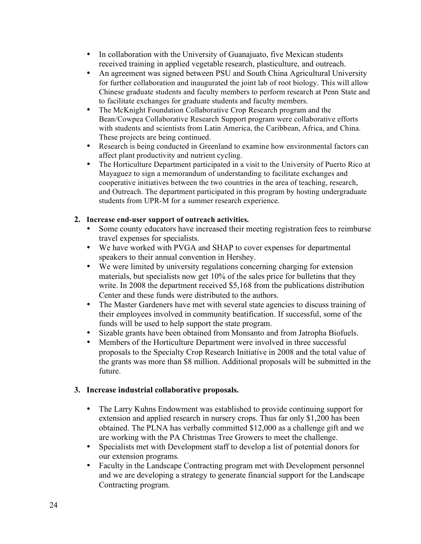- In collaboration with the University of Guanajuato, five Mexican students received training in applied vegetable research, plasticulture, and outreach.
- An agreement was signed between PSU and South China Agricultural University for further collaboration and inaugurated the joint lab of root biology. This will allow Chinese graduate students and faculty members to perform research at Penn State and to facilitate exchanges for graduate students and faculty members.
- The McKnight Foundation Collaborative Crop Research program and the Bean/Cowpea Collaborative Research Support program were collaborative efforts with students and scientists from Latin America, the Caribbean, Africa, and China. These projects are being continued.
- Research is being conducted in Greenland to examine how environmental factors can affect plant productivity and nutrient cycling.
- The Horticulture Department participated in a visit to the University of Puerto Rico at Mayaguez to sign a memorandum of understanding to facilitate exchanges and cooperative initiatives between the two countries in the area of teaching, research, and Outreach. The department participated in this program by hosting undergraduate students from UPR-M for a summer research experience.

### **2. Increase end-user support of outreach activities.**

- Some county educators have increased their meeting registration fees to reimburse travel expenses for specialists.
- We have worked with PVGA and SHAP to cover expenses for departmental speakers to their annual convention in Hershey.
- We were limited by university regulations concerning charging for extension materials, but specialists now get 10% of the sales price for bulletins that they write. In 2008 the department received \$5,168 from the publications distribution Center and these funds were distributed to the authors.
- The Master Gardeners have met with several state agencies to discuss training of their employees involved in community beatification. If successful, some of the funds will be used to help support the state program.
- Sizable grants have been obtained from Monsanto and from Jatropha Biofuels.
- Members of the Horticulture Department were involved in three successful proposals to the Specialty Crop Research Initiative in 2008 and the total value of the grants was more than \$8 million. Additional proposals will be submitted in the future.

# **3. Increase industrial collaborative proposals.**

- The Larry Kuhns Endowment was established to provide continuing support for extension and applied research in nursery crops. Thus far only \$1,200 has been obtained. The PLNA has verbally committed \$12,000 as a challenge gift and we are working with the PA Christmas Tree Growers to meet the challenge.
- Specialists met with Development staff to develop a list of potential donors for our extension programs.
- Faculty in the Landscape Contracting program met with Development personnel and we are developing a strategy to generate financial support for the Landscape Contracting program.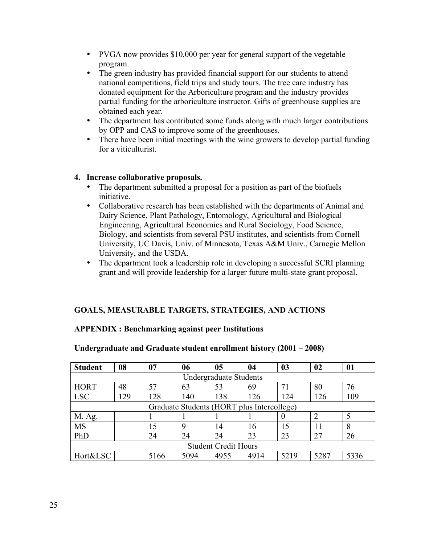- PVGA now provides \$10,000 per year for general support of the vegetable program.
- The green industry has provided financial support for our students to attend national competitions, field trips and study tours. The tree care industry has donated equipment for the Arboriculture program and the industry provides partial funding for the arboriculture instructor. Gifts of greenhouse supplies are obtained each year.
- The department has contributed some funds along with much larger contributions by OPP and CAS to improve some of the greenhouses.
- There have been initial meetings with the wine growers to develop partial funding for a viticulturist.

### **4. Increase collaborative proposals.**

- The department submitted a proposal for a position as part of the biofuels initiative.
- Collaborative research has been established with the departments of Animal and Dairy Science, Plant Pathology, Entomology, Agricultural and Biological Engineering, Agricultural Economics and Rural Sociology, Food Science, Biology, and scientists from several PSU institutes, and scientists from Cornell University, UC Davis, Univ. of Minnesota, Texas A&M Univ., Carnegie Mellon University, and the USDA.
- The department took a leadership role in developing a successful SCRI planning grant and will provide leadership for a larger future multi-state grant proposal.

# **GOALS, MEASURABLE TARGETS, STRATEGIES, AND ACTIONS**

# **APPENDIX : Benchmarking against peer Institutions**

| <b>Student</b>                             | 08                            | 07   | 06   | 05   | 04   | 03   | 02             | 01   |  |
|--------------------------------------------|-------------------------------|------|------|------|------|------|----------------|------|--|
|                                            | <b>Undergraduate Students</b> |      |      |      |      |      |                |      |  |
| <b>HORT</b>                                | 48                            | 57   | 63   | 53   | 69   | 71   | 80             | 76   |  |
| <b>LSC</b>                                 | 129                           | 128  | 140  | 138  | 126  | 124  | 126            | 109  |  |
| Graduate Students (HORT plus Intercollege) |                               |      |      |      |      |      |                |      |  |
| M. Ag.                                     |                               |      |      |      |      | 0    | $\overline{2}$ |      |  |
| <b>MS</b>                                  |                               | 15   | 9    | 14   | 16   | 15   | 11             | 8    |  |
| PhD                                        |                               | 24   | 24   | 24   | 23   | 23   | 27             | 26   |  |
| <b>Student Credit Hours</b>                |                               |      |      |      |      |      |                |      |  |
| Hort&LSC                                   |                               | 5166 | 5094 | 4955 | 4914 | 5219 | 5287           | 5336 |  |

# **Undergraduate and Graduate student enrollment history (2001 – 2008)**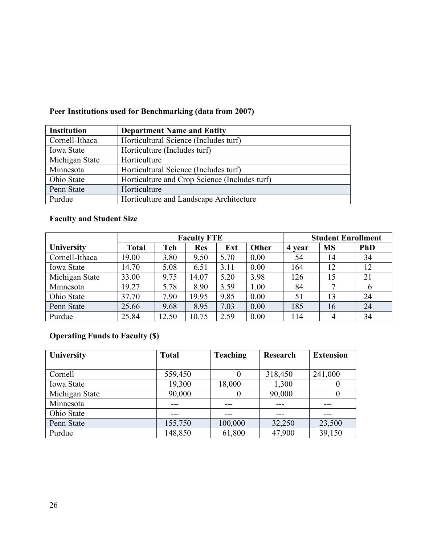| <b>Institution</b> | <b>Department Name and Entity</b>             |
|--------------------|-----------------------------------------------|
| Cornell-Ithaca     | Horticultural Science (Includes turf)         |
| <b>Iowa State</b>  | Horticulture (Includes turf)                  |
| Michigan State     | Horticulture                                  |
| Minnesota          | Horticultural Science (Includes turf)         |
| Ohio State         | Horticulture and Crop Science (Includes turf) |
| Penn State         | Horticulture                                  |
| Purdue             | Horticulture and Landscape Architecture       |

# **Peer Institutions used for Benchmarking (data from 2007)**

# **Faculty and Student Size**

|                | <b>Faculty FTE</b> |       |            |      |       | <b>Student Enrollment</b> |                |            |
|----------------|--------------------|-------|------------|------|-------|---------------------------|----------------|------------|
| University     | <b>Total</b>       | Tch   | <b>Res</b> | Ext  | Other | 4 year                    | <b>MS</b>      | <b>PhD</b> |
| Cornell-Ithaca | 19.00              | 3.80  | 9.50       | 5.70 | 0.00  | 54                        | 14             | 34         |
| Iowa State     | 14.70              | 5.08  | 6.51       | 3.11 | 0.00  | 164                       | 12             | 12         |
| Michigan State | 33.00              | 9.75  | 14.07      | 5.20 | 3.98  | 126                       | 15             | 21         |
| Minnesota      | 19.27              | 5.78  | 8.90       | 3.59 | 1.00  | 84                        |                | 6          |
| Ohio State     | 37.70              | 7.90  | 19.95      | 9.85 | 0.00  | 51                        | 13             | 24         |
| Penn State     | 25.66              | 9.68  | 8.95       | 7.03 | 0.00  | 185                       | 16             | 24         |
| Purdue         | 25.84              | 12.50 | 10.75      | 2.59 | 0.00  | 114                       | $\overline{4}$ | 34         |

# **Operating Funds to Faculty (\$)**

| University     | <b>Total</b> | <b>Teaching</b> | <b>Research</b> | <b>Extension</b> |
|----------------|--------------|-----------------|-----------------|------------------|
|                |              |                 |                 |                  |
| Cornell        | 559,450      |                 | 318,450         | 241,000          |
| Iowa State     | 19,300       | 18,000          | 1,300           |                  |
| Michigan State | 90,000       | $\theta$        | 90,000          |                  |
| Minnesota      |              | ---             |                 | ---              |
| Ohio State     | ---          | ---             | ---             | ---              |
| Penn State     | 155,750      | 100,000         | 32,250          | 23,500           |
| Purdue         | 148,850      | 61,800          | 47,900          | 39,150           |